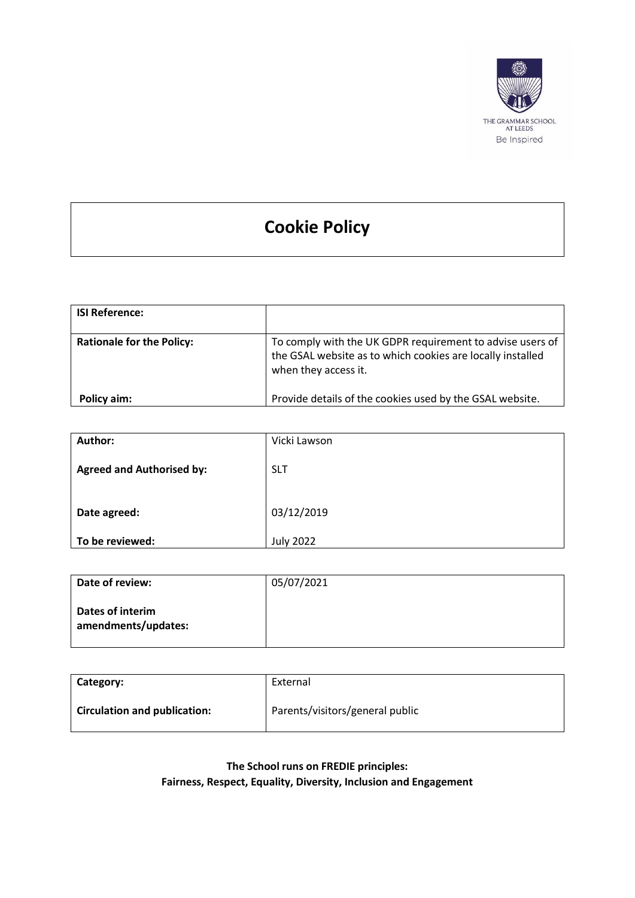

# **Cookie Policy**

| <b>ISI Reference:</b>            |                                                                                                                                                 |
|----------------------------------|-------------------------------------------------------------------------------------------------------------------------------------------------|
| <b>Rationale for the Policy:</b> | To comply with the UK GDPR requirement to advise users of<br>the GSAL website as to which cookies are locally installed<br>when they access it. |
| Policy aim:                      | Provide details of the cookies used by the GSAL website.                                                                                        |

| Author:                          | Vicki Lawson     |
|----------------------------------|------------------|
| <b>Agreed and Authorised by:</b> | <b>SLT</b>       |
| Date agreed:                     | 03/12/2019       |
| To be reviewed:                  | <b>July 2022</b> |

| Date of review:                         | 05/07/2021 |
|-----------------------------------------|------------|
| Dates of interim<br>amendments/updates: |            |

| Category:                           | External                        |
|-------------------------------------|---------------------------------|
| <b>Circulation and publication:</b> | Parents/visitors/general public |

**The School runs on FREDIE principles: Fairness, Respect, Equality, Diversity, Inclusion and Engagement**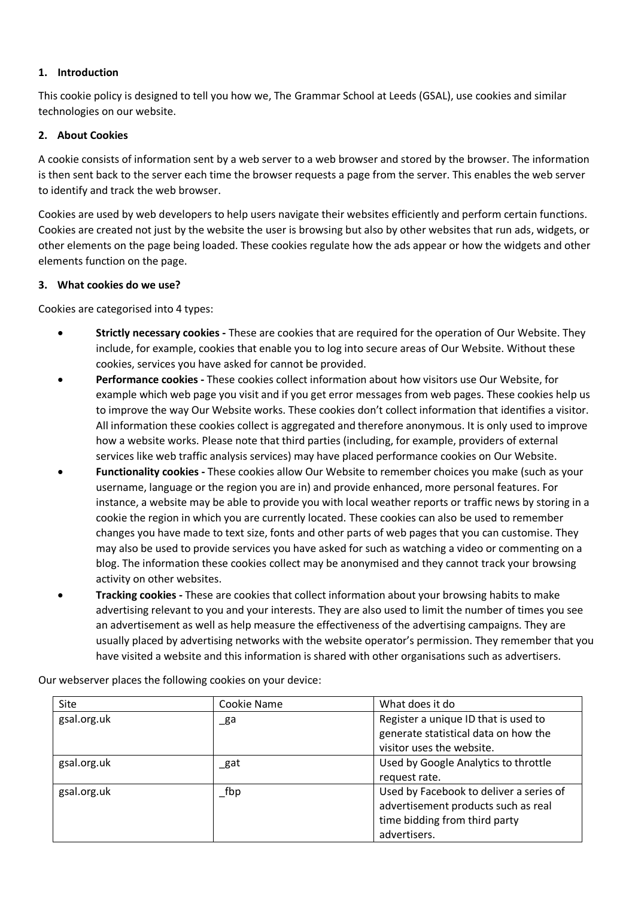## **1. Introduction**

This cookie policy is designed to tell you how we, The Grammar School at Leeds (GSAL), use cookies and similar technologies on our website.

## **2. About Cookies**

A cookie consists of information sent by a web server to a web browser and stored by the browser. The information is then sent back to the server each time the browser requests a page from the server. This enables the web server to identify and track the web browser.

Cookies are used by web developers to help users navigate their websites efficiently and perform certain functions. Cookies are created not just by the website the user is browsing but also by other websites that run ads, widgets, or other elements on the page being loaded. These cookies regulate how the ads appear or how the widgets and other elements function on the page.

#### **3. What cookies do we use?**

Cookies are categorised into 4 types:

- **Strictly necessary cookies -** These are cookies that are required for the operation of Our Website. They include, for example, cookies that enable you to log into secure areas of Our Website. Without these cookies, services you have asked for cannot be provided.
- **Performance cookies -** These cookies collect information about how visitors use Our Website, for example which web page you visit and if you get error messages from web pages. These cookies help us to improve the way Our Website works. These cookies don't collect information that identifies a visitor. All information these cookies collect is aggregated and therefore anonymous. It is only used to improve how a website works. Please note that third parties (including, for example, providers of external services like web traffic analysis services) may have placed performance cookies on Our Website.
- **Functionality cookies -** These cookies allow Our Website to remember choices you make (such as your username, language or the region you are in) and provide enhanced, more personal features. For instance, a website may be able to provide you with local weather reports or traffic news by storing in a cookie the region in which you are currently located. These cookies can also be used to remember changes you have made to text size, fonts and other parts of web pages that you can customise. They may also be used to provide services you have asked for such as watching a video or commenting on a blog. The information these cookies collect may be anonymised and they cannot track your browsing activity on other websites.
- **Tracking cookies -** These are cookies that collect information about your browsing habits to make advertising relevant to you and your interests. They are also used to limit the number of times you see an advertisement as well as help measure the effectiveness of the advertising campaigns. They are usually placed by advertising networks with the website operator's permission. They remember that you have visited a website and this information is shared with other organisations such as advertisers.

| Site        | Cookie Name | What does it do                                                                                                                 |
|-------------|-------------|---------------------------------------------------------------------------------------------------------------------------------|
| gsal.org.uk | _ga         | Register a unique ID that is used to<br>generate statistical data on how the<br>visitor uses the website.                       |
| gsal.org.uk | _gat        | Used by Google Analytics to throttle<br>request rate.                                                                           |
| gsal.org.uk | $\_$ fbp    | Used by Facebook to deliver a series of<br>advertisement products such as real<br>time bidding from third party<br>advertisers. |

Our webserver places the following cookies on your device: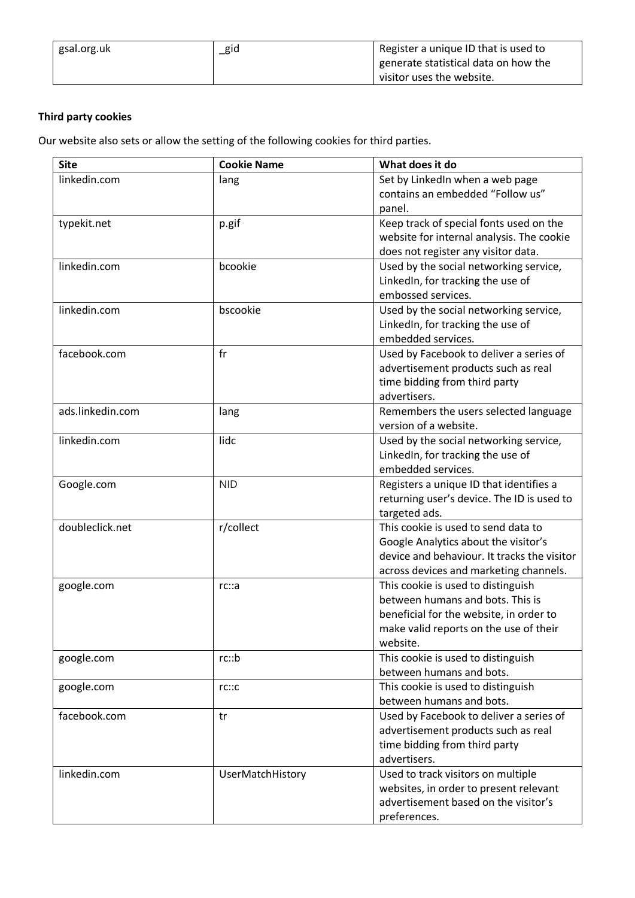| gsal.org.uk | _gid | Register a unique ID that is used to |
|-------------|------|--------------------------------------|
|             |      | generate statistical data on how the |
|             |      | visitor uses the website.            |

# **Third party cookies**

Our website also sets or allow the setting of the following cookies for third parties.

| <b>Site</b>      | <b>Cookie Name</b> | What does it do                             |
|------------------|--------------------|---------------------------------------------|
| linkedin.com     | lang               | Set by LinkedIn when a web page             |
|                  |                    | contains an embedded "Follow us"            |
|                  |                    | panel.                                      |
| typekit.net      | p.gif              | Keep track of special fonts used on the     |
|                  |                    | website for internal analysis. The cookie   |
|                  |                    | does not register any visitor data.         |
| linkedin.com     | bcookie            | Used by the social networking service,      |
|                  |                    | LinkedIn, for tracking the use of           |
|                  |                    | embossed services.                          |
| linkedin.com     | bscookie           | Used by the social networking service,      |
|                  |                    | LinkedIn, for tracking the use of           |
|                  |                    | embedded services.                          |
| facebook.com     | fr                 | Used by Facebook to deliver a series of     |
|                  |                    | advertisement products such as real         |
|                  |                    | time bidding from third party               |
|                  |                    | advertisers.                                |
| ads.linkedin.com | lang               | Remembers the users selected language       |
|                  |                    | version of a website.                       |
| linkedin.com     | lidc               | Used by the social networking service,      |
|                  |                    | LinkedIn, for tracking the use of           |
|                  |                    | embedded services.                          |
| Google.com       | <b>NID</b>         | Registers a unique ID that identifies a     |
|                  |                    | returning user's device. The ID is used to  |
|                  |                    | targeted ads.                               |
| doubleclick.net  | r/collect          | This cookie is used to send data to         |
|                  |                    | Google Analytics about the visitor's        |
|                  |                    | device and behaviour. It tracks the visitor |
|                  |                    | across devices and marketing channels.      |
| google.com       | rc::a              | This cookie is used to distinguish          |
|                  |                    | between humans and bots. This is            |
|                  |                    | beneficial for the website, in order to     |
|                  |                    | make valid reports on the use of their      |
|                  |                    | website.                                    |
| google.com       | rc::b              | This cookie is used to distinguish          |
|                  |                    | between humans and bots.                    |
| google.com       | rc::c              | This cookie is used to distinguish          |
|                  |                    | between humans and bots.                    |
| facebook.com     | tr                 | Used by Facebook to deliver a series of     |
|                  |                    | advertisement products such as real         |
|                  |                    | time bidding from third party               |
|                  |                    | advertisers.                                |
| linkedin.com     | UserMatchHistory   | Used to track visitors on multiple          |
|                  |                    | websites, in order to present relevant      |
|                  |                    | advertisement based on the visitor's        |
|                  |                    | preferences.                                |